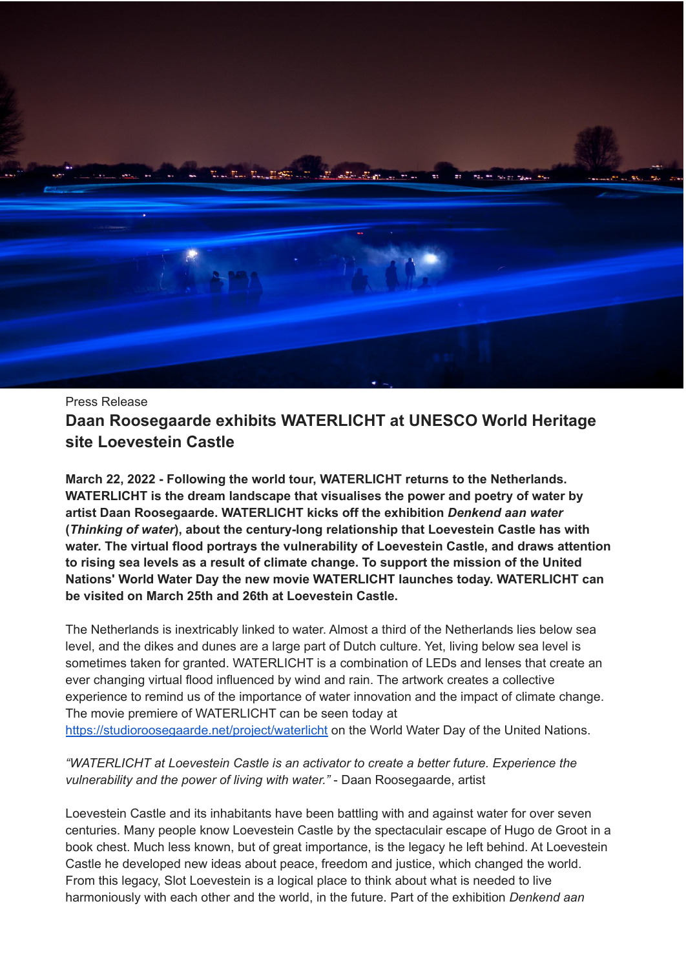

Press Release **Daan Roosegaarde exhibits WATERLICHT at UNESCO World Heritage site Loevestein Castle**

**March 22, 2022 - Following the world tour, WATERLICHT returns to the Netherlands. WATERLICHT is the dream landscape that visualises the power and poetry of water by artist Daan Roosegaarde. WATERLICHT kicks off the exhibition** *Denkend aan water* **(***Thinking of water***), about the century-long relationship that Loevestein Castle has with water. The virtual flood portrays the vulnerability of Loevestein Castle, and draws attention to rising sea levels as a result of climate change. To support the mission of the United Nations' World Water Day the new movie WATERLICHT launches today. WATERLICHT can be visited on March 25th and 26th at Loevestein Castle.**

The Netherlands is inextricably linked to water. Almost a third of the Netherlands lies below sea level, and the dikes and dunes are a large part of Dutch culture. Yet, living below sea level is sometimes taken for granted. WATERLICHT is a combination of LEDs and lenses that create an ever changing virtual flood influenced by wind and rain. The artwork creates a collective experience to remind us of the importance of water innovation and the impact of climate change. The movie premiere of WATERLICHT can be seen today at <https://studioroosegaarde.net/project/waterlicht> on the World Water Day of the United Nations.

*"WATERLICHT at Loevestein Castle is an activator to create a better future. Experience the vulnerability and the power of living with water."* - Daan Roosegaarde, artist

Loevestein Castle and its inhabitants have been battling with and against water for over seven centuries. Many people know Loevestein Castle by the spectaculair escape of Hugo de Groot in a book chest. Much less known, but of great importance, is the legacy he left behind. At Loevestein Castle he developed new ideas about peace, freedom and justice, which changed the world. From this legacy, Slot Loevestein is a logical place to think about what is needed to live harmoniously with each other and the world, in the future. Part of the exhibition *Denkend aan*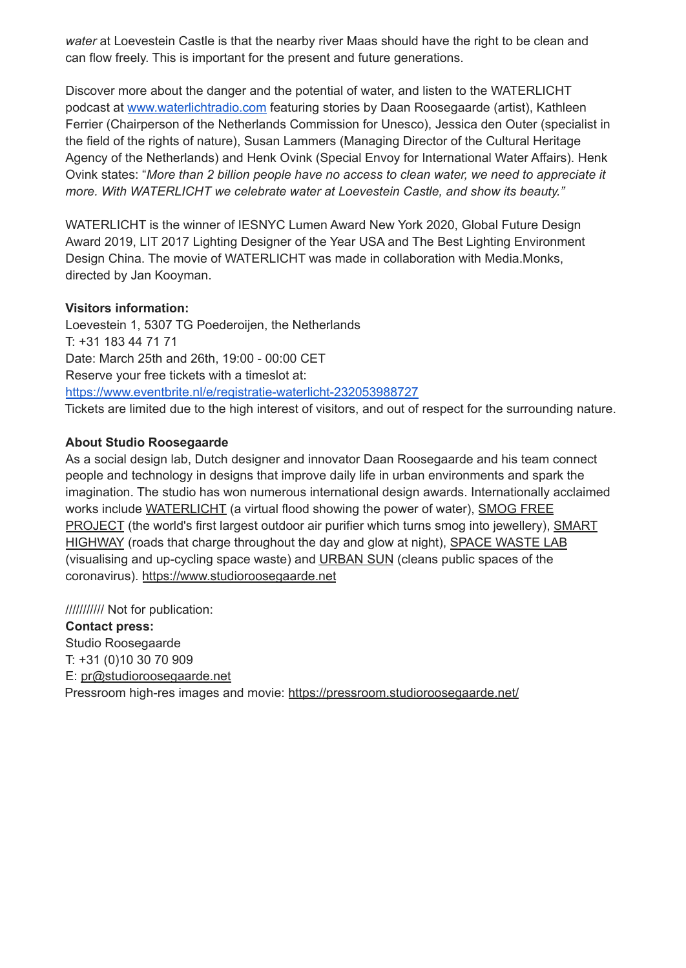*water* at Loevestein Castle is that the nearby river Maas should have the right to be clean and can flow freely. This is important for the present and future generations.

Discover more about the danger and the potential of water, and listen to the WATERLICHT podcast at [www.waterlichtradio.com](http://www.waterlichtradio.com) featuring stories by Daan Roosegaarde (artist), Kathleen Ferrier (Chairperson of the Netherlands Commission for Unesco), Jessica den Outer (specialist in the field of the rights of nature), Susan Lammers (Managing Director of the Cultural Heritage Agency of the Netherlands) and Henk Ovink (Special Envoy for International Water Affairs). Henk Ovink states: "*More than 2 billion people have no access to clean water, we need to appreciate it more. With WATERLICHT we celebrate water at Loevestein Castle, and show its beauty."*

WATERLICHT is the winner of IESNYC Lumen Award New York 2020, Global Future Design Award 2019, LIT 2017 Lighting Designer of the Year USA and The Best Lighting Environment Design China. The movie of WATERLICHT was made in collaboration with Media.Monks, directed by Jan Kooyman.

## **Visitors information:**

Loevestein 1, 5307 TG Poederoijen, the Netherlands T: +31 183 44 71 71 Date: March 25th and 26th, 19:00 - 00:00 CET Reserve your free tickets with a timeslot at: <https://www.eventbrite.nl/e/registratie-waterlicht-232053988727> Tickets are limited due to the high interest of visitors, and out of respect for the surrounding nature.

## **About Studio Roosegaarde**

As a social design lab, Dutch designer and innovator Daan Roosegaarde and his team connect people and technology in designs that improve daily life in urban environments and spark the imagination. The studio has won numerous international design awards. Internationally acclaimed works include [WATERLICHT](https://www.studioroosegaarde.net/project/waterlicht) (a virtual flood showing the power of water), [SMOG](https://www.studioroosegaarde.net/project/smog-free-tower) FREE [PROJECT](https://www.studioroosegaarde.net/project/smog-free-tower) (the world's first largest outdoor air purifier which turns smog into jewellery), [SMART](https://www.studioroosegaarde.net/project/smart-highway) [HIGHWAY](https://www.studioroosegaarde.net/project/smart-highway) (roads that charge throughout the day and glow at night), SPACE [WASTE](https://www.studioroosegaarde.net/project/space-waste-lab) LAB (visualising and up-cycling space waste) and [URBAN](https://studioroosegaarde.net/project/urban-sun) SUN (cleans public spaces of the coronavirus). <https://www.studioroosegaarde.net>

/////////// Not for publication:

**Contact press:** Studio Roosegaarde T: +31 (0)10 30 70 909 E: p[r@studioroosegaarde.net](mailto:annabella@studioroosegaarde.net) Pressroom high-res images and movie: <https://pressroom.studioroosegaarde.net/>